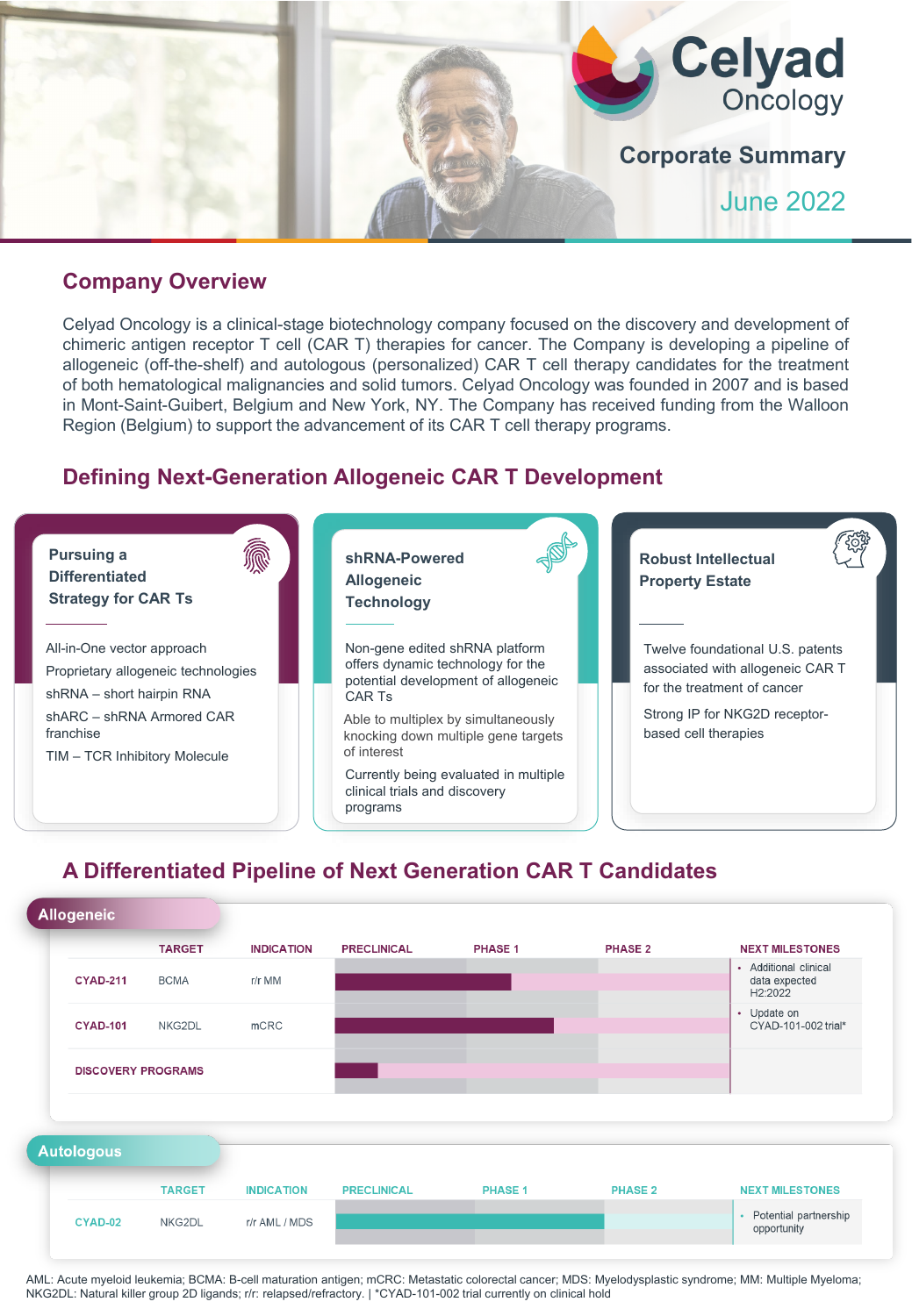

### **Company Overview**

Celyad Oncology is a clinical-stage biotechnology company focused on the discovery and development of chimeric antigen receptor T cell (CAR T) therapies for cancer. The Company is developing a pipeline of allogeneic (off-the-shelf) and autologous (personalized) CAR T cell therapy candidates for the treatment of both hematological malignancies and solid tumors. Celyad Oncology was founded in 2007 and is based in Mont-Saint-Guibert, Belgium and New York, NY. The Company has received funding from the Walloon Region (Belgium) to support the advancement of its CAR T cell therapy programs.

### **Defining Next-Generation Allogeneic CAR T Development**



## **A Differentiated Pipeline of Next Generation CAR T Candidates**



AML: Acute myeloid leukemia; BCMA: B-cell maturation antigen; mCRC: Metastatic colorectal cancer; MDS: Myelodysplastic syndrome; MM: Multiple Myeloma; NKG2DL: Natural killer group 2D ligands; r/r: relapsed/refractory. | \*CYAD-101-002 trial currently on clinical hold